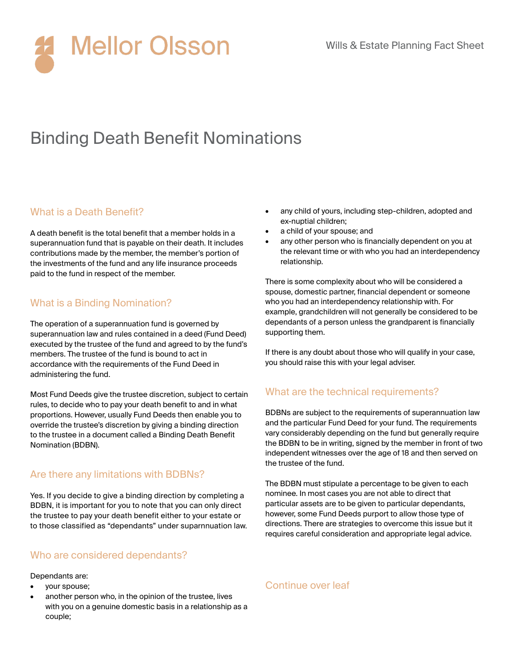

# Binding Death Benefit Nominations

## What is a Death Benefit?

A death benefit is the total benefit that a member holds in a superannuation fund that is payable on their death. It includes contributions made by the member, the member's portion of the investments of the fund and any life insurance proceeds paid to the fund in respect of the member.

## What is a Binding Nomination?

The operation of a superannuation fund is governed by superannuation law and rules contained in a deed (Fund Deed) executed by the trustee of the fund and agreed to by the fund's members. The trustee of the fund is bound to act in accordance with the requirements of the Fund Deed in administering the fund.

Most Fund Deeds give the trustee discretion, subject to certain rules, to decide who to pay your death benefit to and in what proportions. However, usually Fund Deeds then enable you to override the trustee's discretion by giving a binding direction to the trustee in a document called a Binding Death Benefit Nomination (BDBN).

## Are there any limitations with BDBNs?

Yes. If you decide to give a binding direction by completing a BDBN, it is important for you to note that you can only direct the trustee to pay your death benefit either to your estate or to those classified as "dependants" under suparnnuation law.

## Who are considered dependants?

#### Dependants are:

- your spouse;
- another person who, in the opinion of the trustee, lives with you on a genuine domestic basis in a relationship as a couple;
- any child of yours, including step-children, adopted and ex-nuptial children;
- a child of your spouse; and
- any other person who is financially dependent on you at the relevant time or with who you had an interdependency relationship.

There is some complexity about who will be considered a spouse, domestic partner, financial dependent or someone who you had an interdependency relationship with. For example, grandchildren will not generally be considered to be dependants of a person unless the grandparent is financially supporting them.

If there is any doubt about those who will qualify in your case, you should raise this with your legal adviser.

## What are the technical requirements?

BDBNs are subject to the requirements of superannuation law and the particular Fund Deed for your fund. The requirements vary considerably depending on the fund but generally require the BDBN to be in writing, signed by the member in front of two independent witnesses over the age of 18 and then served on the trustee of the fund.

The BDBN must stipulate a percentage to be given to each nominee. In most cases you are not able to direct that particular assets are to be given to particular dependants, however, some Fund Deeds purport to allow those type of directions. There are strategies to overcome this issue but it requires careful consideration and appropriate legal advice.

## Continue over leaf